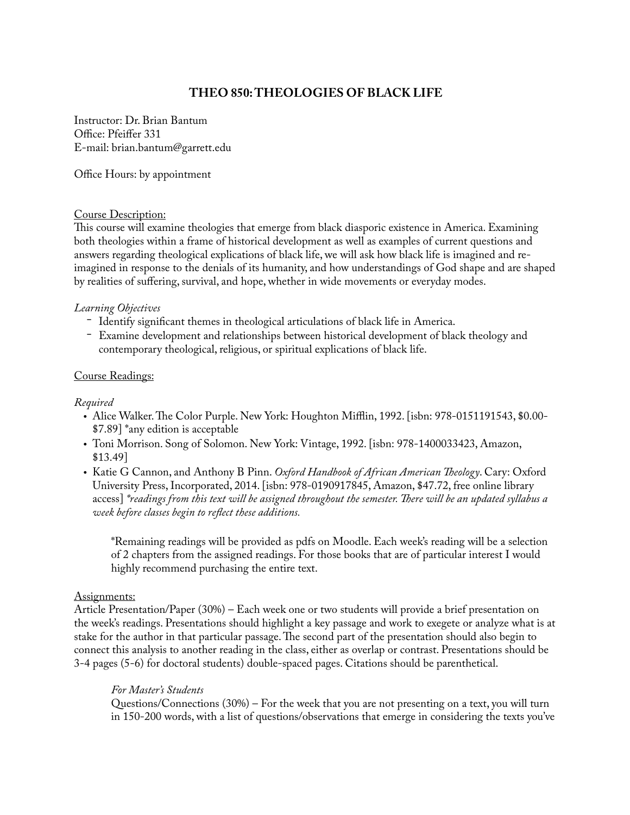# **THEO 850: THEOLOGIES OF BLACK LIFE**

Instructor: Dr. Brian Bantum Office: Pfeiffer 331 E-mail: brian.bantum@garrett.edu

Office Hours: by appointment

#### Course Description:

This course will examine theologies that emerge from black diasporic existence in America. Examining both theologies within a frame of historical development as well as examples of current questions and answers regarding theological explications of black life, we will ask how black life is imagined and reimagined in response to the denials of its humanity, and how understandings of God shape and are shaped by realities of suffering, survival, and hope, whether in wide movements or everyday modes.

### *Learning Objectives*

- Identify significant themes in theological articulations of black life in America.
- Examine development and relationships between historical development of black theology and contemporary theological, religious, or spiritual explications of black life.

### Course Readings:

#### *Required*

- Alice Walker. The Color Purple. New York: Houghton Mifflin, 1992. [isbn: 978-0151191543, \$0.00- \$7.89] \*any edition is acceptable
- Toni Morrison. Song of Solomon. New York: Vintage, 1992. [isbn: 978-1400033423, Amazon, \$13.49]
- Katie G Cannon, and Anthony B Pinn. *Oxford Handbook of African American Theology*. Cary: Oxford University Press, Incorporated, 2014. [isbn: 978-0190917845, Amazon, \$47.72, free online library access] *\*readings from this text will be assigned throughout the semester. There will be an updated syllabus a week before classes begin to reflect these additions.*

\*Remaining readings will be provided as pdfs on Moodle. Each week's reading will be a selection of 2 chapters from the assigned readings. For those books that are of particular interest I would highly recommend purchasing the entire text.

### Assignments:

Article Presentation/Paper (30%) – Each week one or two students will provide a brief presentation on the week's readings. Presentations should highlight a key passage and work to exegete or analyze what is at stake for the author in that particular passage. The second part of the presentation should also begin to connect this analysis to another reading in the class, either as overlap or contrast. Presentations should be 3-4 pages (5-6) for doctoral students) double-spaced pages. Citations should be parenthetical.

### *For Master's Students*

Questions/Connections (30%) – For the week that you are not presenting on a text, you will turn in 150-200 words, with a list of questions/observations that emerge in considering the texts you've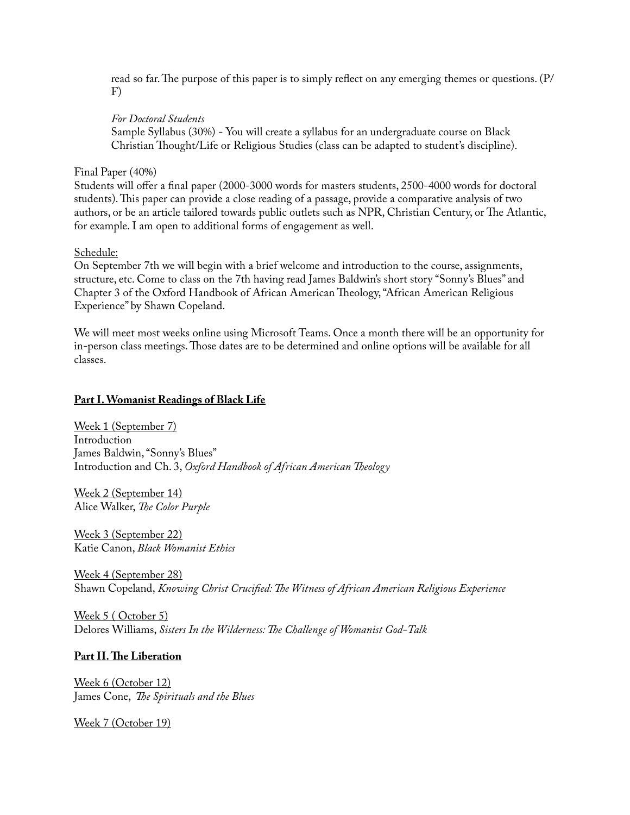read so far. The purpose of this paper is to simply reflect on any emerging themes or questions. (P/ F)

## *For Doctoral Students*

Sample Syllabus (30%) - You will create a syllabus for an undergraduate course on Black Christian Thought/Life or Religious Studies (class can be adapted to student's discipline).

Final Paper (40%)

Students will offer a final paper (2000-3000 words for masters students, 2500-4000 words for doctoral students). This paper can provide a close reading of a passage, provide a comparative analysis of two authors, or be an article tailored towards public outlets such as NPR, Christian Century, or The Atlantic, for example. I am open to additional forms of engagement as well.

Schedule:

On September 7th we will begin with a brief welcome and introduction to the course, assignments, structure, etc. Come to class on the 7th having read James Baldwin's short story "Sonny's Blues" and Chapter 3 of the Oxford Handbook of African American Theology, "African American Religious Experience" by Shawn Copeland.

We will meet most weeks online using Microsoft Teams. Once a month there will be an opportunity for in-person class meetings. Those dates are to be determined and online options will be available for all classes.

## **Part I. Womanist Readings of Black Life**

Week 1 (September 7) Introduction James Baldwin, "Sonny's Blues" Introduction and Ch. 3, *Oxford Handbook of African American Theology*

Week 2 (September 14) Alice Walker, *The Color Purple*

Week 3 (September 22) Katie Canon, *Black Womanist Ethics*

Week 4 (September 28) Shawn Copeland, *Knowing Christ Crucified: The Witness of African American Religious Experience*

Week 5 ( October 5) Delores Williams, *Sisters In the Wilderness: The Challenge of Womanist God-Talk*

## **Part II. The Liberation**

Week 6 (October 12) James Cone, *The Spirituals and the Blues*

Week 7 (October 19)